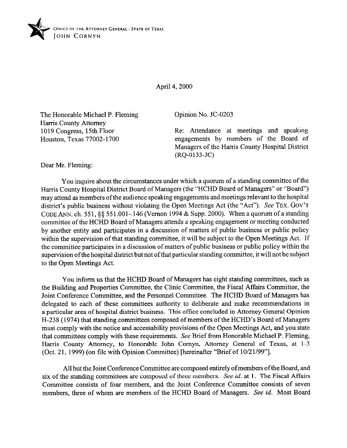

April 4,200O

The Honorable Michael P. Fleming Harris County Attorney 1019 Congress, 15th Floor Houston, Texas 77002-1700

Opinion No. JC-0203

Re: Attendance at meetings and speaking engagements by members of the Board of Managers of the Harris County Hospital District (RQ-0133.JC)

Dear Mr. Fleming:

You inquire about the circumstances under which a quorum of a standing committee of the Harris County Hospital District Board of Managers (the "HCHD Board of Managers" or "Board") may attend as members ofthe audience speaking engagements and meetings relevant to the hospital district's public business without violating the Open Meetings Act (the "Act"). See **TEX. GOV'T**  CODE ANN. ch. 551, §§ 551.001-.146 (Vernon 1994 & Supp. 2000). When a quorum of a standing committee of the HCHD Board of Managers attends a speaking engagement or meeting conducted by another entity and participates in a discussion of matters of public business or public policy within the supervision of that standing committee, it will be subject to the Open Meetings Act. If the committee participates in a discussion of matters of public business or public policy within the supervision ofthe hospital district but not ofthat particular standing committee, it will not be subject to the Open Meetings Act.

You inform us that the HCHD Board of Managers has eight standing committees, such as the Building and Properties Committee, the Clinic Committee, the Fiscal Affairs Committee, the Joint Conference Committee, and the Personnel Committee. The HCHD Board of Managers has delegated to each of these committees authority to deliberate and make recommendations in a particular area of hospital district business. This office concluded in Attorney General Opinion H-238 (1974) that standing committees composed of members of the HCHD's Board of Managers must comply with the notice and accessability provisions of the Open Meetings Act, and you state that committees comply with these requirements. See Brief from Honorable Michael P. Fleming, Harris County Attorney, to Honorable John Comyn, Attorney General of Texas, at l-3 (Oct. 21, 1999) (on file with Opinion Committee) [hereinafter "Brief of 10/21/99"].

All but the Joint Conference Committee are composed entirely of members of the Board, and six of the standing committees are composed of three members. See id. at 1. The Fiscal Affairs Committee consists of four members, and the Joint Conference Committee consists of seven members, three of whom are members of the HCHD Board of Managers. See *id.* Most Board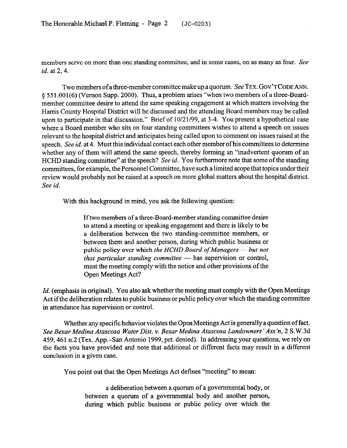members serve on more than one standing committee, and in some cases, on as many as four. See *id.* at 2. 4.

Two members of a three-member committee make up a quorum. See **TEX. GOV'T CODE ANN.**  5 55 l.OOl(6) (Vernon Supp. 2000). Thus, a problem arises "when two members of a three-Boardmember committee desire to attend the same speaking engagement at which matters involving the Harris County Hospital District will be discussed and the attending Board members may be called upon to participate in that discussion." Brief of 10/21/99, at 3-4. You present a hypothetical case where a Board member who sits on four standing committees wishes to attend a speech on issues relevant to the hospital district and anticipates being called upon to comment on issues raised at the speech. See *id.* at 4. Must this individual contact each other member ofhis committees to determine whether any of them will attend the same speech, thereby forming an "inadvertent quorum of an HCHD standing committee" at the speech? See *id*. You furthermore note that some of the standing committees, for example, the Personnel Committee, have such a limited scope that topics under their review would probably not be raised at a speech on more global matters about the hospital district. *See id.* 

With this background in mind, you ask the following question:

Iftwo members of a three-Board-member standing committee desire to attend a meeting or speaking engagement and there is likely to be a deliberation between the two standing-committee members, or between them and another person, during which public business or public policy over which *the HCHD Board of Managers - but not that particular standing committee* - has supervision or control, must the meeting comply with the notice and other provisions of the Open Meetings Act?

*Id.* (emphasis in original). You also ask whether the meeting must comply with the Open Meetings Act if the deliberation relates to public business or public policy over which the standing committee in attendance has supervision or control.

Whether any specific behavior violates the Open Meetings Act is generally a question of fact. *See Bexar Medina Atascosa Water Dist. v. Bexar Medina Atascosa Landowners 'Ass h, 2* S.W.3d 459,461 n.2 (Tex. App.-San Antonio 1999, pet. denied). In addressing your questions, we rely on the facts you have provided and note that additional or different facts may result in a different conclusion in a given case.

You point out that the Open Meetings Act defmes "meeting" to mean:

a deliberation between a quorum of a governmental body, or between a quorum of a governmental body and another person, during which public business or public policy over which the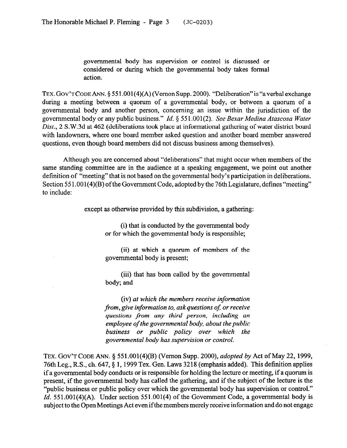governmental body has supervision or control is discussed or considered or during which the governmental body takes formal action.

**TEX. GOV'TCODEANN.** 5 551.001(4)(A) (Vernon Supp. 2000). "Deliberation"is "averbal exchange during a meeting between a quorum of a governmental body, or between a quorum of a governmental body and another person, concerning an issue within the jurisdiction of the governmental body or any public business." *Id. 5 551.001(2). See Bexur Medina Atuscosa Water Dist.,* 2 S.W.3d at 462 (deliberations took place at informational gathering of water district board with landowners, where one board member asked question and another board member answered questions, even though board members did not discuss business among themselves).

Although you are concerned about "deliberations" that might occur when members of the same standing committee are in the audience at a speaking engagement, we point out another definition of "meeting" that is not based on the governmental body's participation in deliberations. Section 551.001(4)(B) of the Government Code, adopted by the 76th Legislature, defines "meeting" to include:

except as otherwise provided by this subdivision, a gathering:

(i) that is conducted by the governmental body or for which the governmental body is responsible;

(ii) at which a quorum of members of the governmental body is present;

(iii) that has been called by the governmental body; and

(iv) *at which the members receive information from, give information to, askquestions of; or receive questions from any third person, including an employee of the governmental body, about the public business or public policy over which the governmental body has supervision or control.* 

TEX. **GOV'T CODE** *ANN. 5* 551.001(4)(B) (Vernon Supp. *2000), adopted by* Act of May 22,1999, 76th Leg., R.S., ch. 647,  $\S$  1, 1999 Tex. Gen. Laws 3218 (emphasis added). This definition applies if a governmental body conducts or is responsible for holding the lecture or meeting, if a quorum is present, if the governmental body has called the gathering, and if the subject of the lecture is the "public business or public policy over which the governmental body has supervision or control." *Id.* 551.001(4)(A). Under section 551.001(4) of the Government Code, a governmental body is subject to the Open Meetings Act even if the members merely receive information and do not engage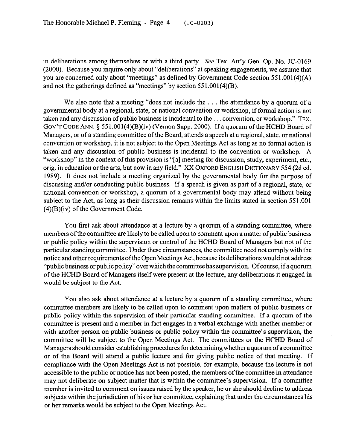in deliberations among themselves or with a third party. See Tex. Att'y Gen. Op. No. JC-0169 (2000). Because you inquire only about "deliberations" at speaking engagements, we assume that you are concerned only about "meetings" as defined by Government Code section 55 1,001(4)(A) and not the gatherings defined as "meetings" by section 55 1.001(4)(B).

We also note that a meeting "does not include the  $\dots$  the attendance by a quorum of a governmental body at a regional, state, or national convention or workshop, if formal action is not taken and any discussion of public business is incidental to the ... convention, or workshop." TEX. GOV'T CODE ANN. § 551.001(4)(B)(iv) (Vernon Supp. 2000). If a quorum of the HCHD Board of Managers, or of a standing committee of the Board, attends a speech at a regional, state, or national convention or workshop, it is not subject to the Open Meetings Act as long as no formal action is taken and any discussion of public business is incidental to the convention or workshop. A "workshop" in the context of this provision is "[a] meeting for discussion, study, experiment, etc., orig. in education or the arts, but now in any field." XX OXFORD ENGLISH DICTIONARY 554 (2d ed. 1989). It does not include a meeting organized by the governmental body for the purpose of discussing and/or conducting public business. If a speech is given as part of a regional, state, or national convention or workshop, a quorum of a governmental body may attend without being subject to the Act, as long as their discussion remains within the limits stated in section 551.001 (4)(B)(iv) of the Government Code.

You first ask about attendance at a lecture by a quorum of a standing committee, where members of the committee are likely to be called upon to comment upon a matter of public business or public policy within the supervision or control of the HCHD Board of Managers but not of the particular standing committee. Under these circumstances, the committee need not comply with the notice and other requirements ofthe Gpen Meetings Act, because its deliberations would not address "public business or public policy" over which the committee has supervision. Of course, if a quorum of the HCHD Board of Managers itself were present at the lecture, any deliberations it engaged in would be subject to the Act.

You also ask about attendance at a lecture by a quorum of a standing committee, where committee members are likely to be called upon to comment upon matters of public business or public policy within the supervision of their particular standing committee. If a quorum of the committee is present and a member in fact engages in a verbal exchange with another member or with another person on public business or public policy within the committee's supervision, the committee will be subject to the Open Meetings Act. The committees or the HCHD Board of Managers should consider establishing procedures for determining whether a quorum of a committee or of the Board will attend a public lecture and for giving public notice of that meeting. If compliance with the Open Meetings Act is not possible, for example, because the lecture is not accessible to the public or notice has not been posted, the members of the committee in attendance may not deliberate on subject matter that is within the committee's supervision. If a committee member is invited to comment on issues raised by the speaker, he or she should decline to address subjects within the jurisdiction of his or her committee, explaining that under the circumstances his or her remarks would be subject to the Open Meetings Act.